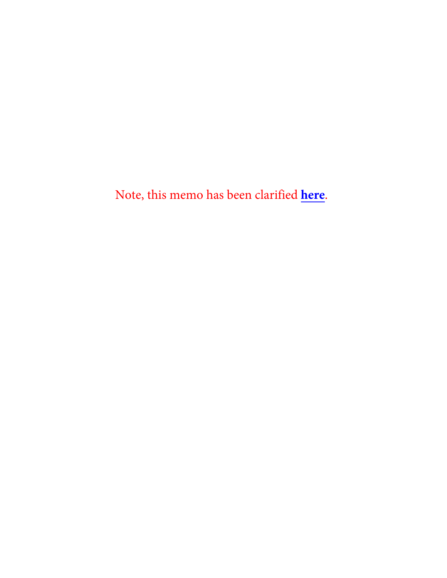Note, this memo has been clarified **[here](https://www.manhattanda.org/wp-content/uploads/2022/02/2022.02.04.Letter.pdf)**.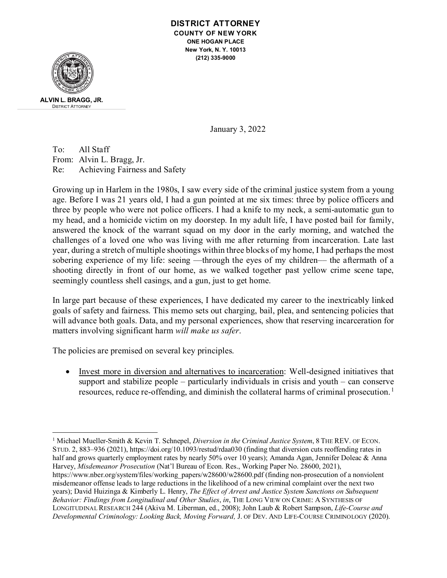#### **DISTRICT ATTORNEY COUNTY OF NEW YORK ONE HOGAN PLACE New York, N. Y. 10013 (212) 335-9000**



January 3, 2022

To: All Staff From: Alvin L. Bragg, Jr. Re: Achieving Fairness and Safety

Growing up in Harlem in the 1980s, I saw every side of the criminal justice system from a young age. Before I was 21 years old, I had a gun pointed at me six times: three by police officers and three by people who were not police officers. I had a knife to my neck, a semi-automatic gun to my head, and a homicide victim on my doorstep. In my adult life, I have posted bail for family, answered the knock of the warrant squad on my door in the early morning, and watched the challenges of a loved one who was living with me after returning from incarceration. Late last year, during a stretch of multiple shootings within three blocks of my home, I had perhaps the most sobering experience of my life: seeing —through the eyes of my children— the aftermath of a shooting directly in front of our home, as we walked together past yellow crime scene tape, seemingly countless shell casings, and a gun, just to get home.

In large part because of these experiences, I have dedicated my career to the inextricably linked goals of safety and fairness. This memo sets out charging, bail, plea, and sentencing policies that will advance both goals. Data, and my personal experiences, show that reserving incarceration for matters involving significant harm *will make us safer*.

The policies are premised on several key principles.

• Invest more in diversion and alternatives to incarceration: Well-designed initiatives that support and stabilize people – particularly individuals in crisis and youth – can conserve resources, reduce re-offending, and diminish the collateral harms of criminal prosecution.<sup>[1](#page-1-0)</sup>

<span id="page-1-0"></span><sup>1</sup> Michael Mueller-Smith & Kevin T. Schnepel, *Diversion in the Criminal Justice System*, 8 THE REV. OF ECON. STUD. 2, 883–936 (2021), https://doi.org/10.1093/restud/rdaa030 (finding that diversion cuts reoffending rates in half and grows quarterly employment rates by nearly 50% over 10 years); Amanda Agan, Jennifer Doleac & Anna Harvey, *Misdemeanor Prosecution* (Nat'l Bureau of Econ. Res., Working Paper No. 28600, 2021), https://www.nber.org/system/files/working\_papers/w28600/w28600.pdf (finding non-prosecution of a nonviolent misdemeanor offense leads to large reductions in the likelihood of a new criminal complaint over the next two years); David Huizinga & Kimberly L. Henry, *The Effect of Arrest and Justice System Sanctions on Subsequent Behavior: Findings from Longitudinal and Other Studies*, *in*, THE LONG VIEW ON CRIME: A SYNTHESIS OF LONGITUDINAL RESEARCH 244 (Akiva M. Liberman, ed., 2008); John Laub & Robert Sampson, *Life-Course and Developmental Criminology: Looking Back, Moving Forward,* J. OF DEV. AND LIFE-COURSE CRIMINOLOGY (2020).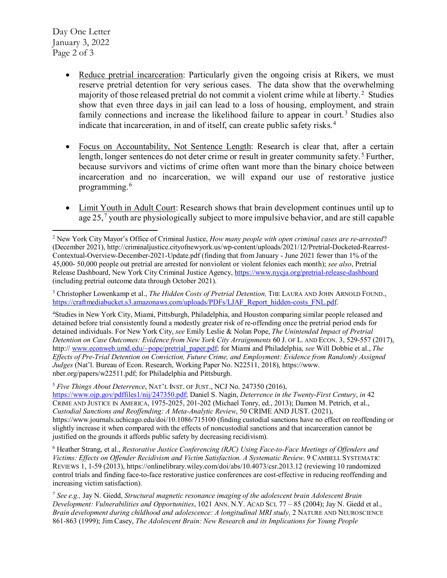Day One Letter January 3, 2022 Page 2 of 3

- Reduce pretrial incarceration: Particularly given the ongoing crisis at Rikers, we must reserve pretrial detention for very serious cases. The data show that the overwhelming majority of those released pretrial do not commit a violent crime while at liberty. [2](#page-2-0) Studies show that even three days in jail can lead to a loss of housing, employment, and strain family connections and increase the likelihood failure to appear in court.<sup>[3](#page-2-1)</sup> Studies also indicate that incarceration, in and of itself, can create public safety risks. [4](#page-2-2)
- Focus on Accountability, Not Sentence Length: Research is clear that, after a certain length, longer sentences do not deter crime or result in greater community safety.<sup>[5](#page-2-3)</sup> Further, because survivors and victims of crime often want more than the binary choice between incarceration and no incarceration, we will expand our use of restorative justice programming.[6](#page-2-4)
- Limit Youth in Adult Court: Research shows that brain development continues until up to  $a$ ge 25,<sup>[7](#page-2-5)</sup> youth are physiologically subject to more impulsive behavior, and are still capable

<span id="page-2-1"></span><sup>3</sup> Christopher Lowenkamp et al., *The Hidden Costs of Pretrial Detention*, THE LAURA AND JOHN ARNOLD FOUND., [https://craftmediabucket.s3.amazonaws.com/uploads/PDFs/LJAF\\_Report\\_hidden-costs\\_FNL.pdf.](https://craftmediabucket.s3.amazonaws.com/uploads/PDFs/LJAF_Report_hidden-costs_FNL.pdf)

<span id="page-2-2"></span>4 Studies in New York City, Miami, Pittsburgh, Philadelphia, and Houston comparing similar people released and detained before trial consistently found a modestly greater risk of re-offending once the pretrial period ends for detained individuals. For New York City, *see* Emily Leslie & Nolan Pope, *The Unintended Impact of Pretrial Detention on Case Outcomes: Evidence from New York City Arraignments* 60 J. OF L. AND ECON. 3, 529-557 (2017), http:/[/ www.econweb.umd.edu/~pope/pretrial\\_paper.pdf;](http://www.econweb.umd.edu/%7Epope/pretrial_paper.pdf) for Miami and Philadelphia, *see* Will Dobbie et al., *The Effects of Pre-Trial Detention on Conviction, Future Crime, and Employment: Evidence from Randomly Assigned Judges* (Nat'l. Bureau of Econ. Research, Working Paper No. N22511, 2018), https://www. nber.org/papers/w22511.pdf; for Philadelphia and Pittsburgh.

<span id="page-2-3"></span><sup>5</sup> *Five Things About Deterrence*, NAT'L INST. OF JUST., NCJ No. 247350 (2016),

[https://www.ojp.gov/pdffiles1/nij/247350.pdf;](https://www.ojp.gov/pdffiles1/nij/247350.pdf) Daniel S. Nagin, *Deterrence in the Twenty-First Century*, *in* 42 CRIME AND JUSTICE IN AMERICA, 1975-2025, 201-202 (Michael Tonry, ed., 2013); Damon M. Petrich, et al., *Custodial Sanctions and Reoffending: A Meta-Analytic Review*, 50 CRIME AND JUST. (2021), https://www.journals.uchicago.edu/doi/10.1086/715100 (finding custodial sanctions have no effect on reoffending or slightly increase it when compared with the effects of noncustodial sanctions and that incarceration cannot be justified on the grounds it affords public safety by decreasing recidivism).

<span id="page-2-4"></span><sup>6</sup> Heather Strang, et al., *Restorative Justice Conferencing (RJC) Using Face-to-Face Meetings of Offenders and Victims: Effects on Offender Recidivism and Victim Satisfaction. A Systematic Review*. 9 CAMBELL SYSTEMATIC REVIEWS 1, 1-59 (2013), https://onlinelibrary.wiley.com/doi/abs/10.4073/csr.2013.12 (reviewing 10 randomized control trials and finding face-to-face restorative justice conferences are cost-effective in reducing reoffending and increasing victim satisfaction).

<span id="page-2-5"></span><sup>7</sup> *See e.g.,* Jay N. Giedd, *Structural magnetic resonance imaging of the adolescent brain Adolescent Brain Development: Vulnerabilities and Opportunities*, 1021 ANN. N.Y. ACAD SCI. 77 – 85 (2004); Jay N. Giedd et al., *Brain development during childhood and adolescence: A longitudinal MRI study,* 2 NATURE AND NEUROSCIENCE 861-863 (1999); Jim Casey, *The Adolescent Brain: New Research and its Implications for Young People* 

<span id="page-2-0"></span> $\overline{a}$ <sup>2</sup> New York City Mayor's Office of Criminal Justice, *How many people with open criminal cases are re-arrested*? (December 2021), http://criminaljustice.cityofnewyork.us/wp-content/uploads/2021/12/Pretrial-Docketed-Rearrest-Contextual-Overview-December-2021-Update.pdf (finding that from January - June 2021 fewer than 1% of the 45,000- 50,000 people out pretrial are arrested for nonviolent or violent felonies each month); *see also*, Pretrial Release Dashboard, New York City Criminal Justice Agency,<https://www.nycja.org/pretrial-release-dashboard> (including pretrial outcome data through October 2021).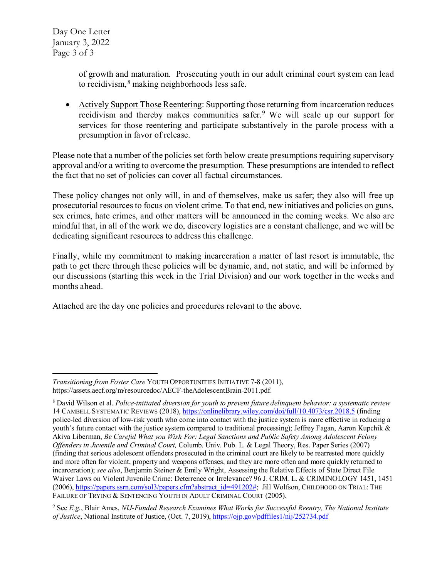Day One Letter January 3, 2022 Page 3 of 3

> of growth and maturation. Prosecuting youth in our adult criminal court system can lead to recidivism,  $8$  making neighborhoods less safe.

• Actively Support Those Reentering: Supporting those returning from incarceration reduces recidivism and thereby makes communities safer.<sup>[9](#page-3-1)</sup> We will scale up our support for services for those reentering and participate substantively in the parole process with a presumption in favor of release.

Please note that a number of the policies set forth below create presumptions requiring supervisory approval and/or a writing to overcome the presumption. These presumptions are intended to reflect the fact that no set of policies can cover all factual circumstances.

These policy changes not only will, in and of themselves, make us safer; they also will free up prosecutorial resources to focus on violent crime. To that end, new initiatives and policies on guns, sex crimes, hate crimes, and other matters will be announced in the coming weeks. We also are mindful that, in all of the work we do, discovery logistics are a constant challenge, and we will be dedicating significant resources to address this challenge.

Finally, while my commitment to making incarceration a matter of last resort is immutable, the path to get there through these policies will be dynamic, and, not static, and will be informed by our discussions (starting this week in the Trial Division) and our work together in the weeks and months ahead.

Attached are the day one policies and procedures relevant to the above.

 $\overline{a}$ *Transitioning from Foster Care* YOUTH OPPORTUNITIES INITIATIVE 7-8 (2011), https://assets.aecf.org/m/resourcedoc/AECF-theAdolescentBrain-2011.pdf.

<span id="page-3-0"></span><sup>8</sup> David Wilson et al. *Police-initiated diversion for youth to prevent future delinquent behavior: a systematic review* 14 CAMBELL SYSTEMATIC REVIEWS (2018),<https://onlinelibrary.wiley.com/doi/full/10.4073/csr.2018.5> (finding police-led diversion of low-risk youth who come into contact with the justice system is more effective in reducing a youth's future contact with the justice system compared to traditional processing); Jeffrey Fagan, Aaron Kupchik & Akiva Liberman, *Be Careful What you Wish For: Legal Sanctions and Public Safety Among Adolescent Felony Offenders in Juvenile and Criminal Court,* Columb. Univ. Pub. L. & Legal Theory, Res. Paper Series (2007) (finding that serious adolescent offenders prosecuted in the criminal court are likely to be rearrested more quickly and more often for violent, property and weapons offenses, and they are more often and more quickly returned to incarceration); *see also*, Benjamin Steiner & Emily Wright, Assessing the Relative Effects of State Direct File Waiver Laws on Violent Juvenile Crime: Deterrence or Irrelevance? 96 J. CRIM. L. & CRIMINOLOGY 1451, 1451 (2006)[, https://papers.ssrn.com/sol3/papers.cfm?abstract\\_id=491202#;](https://papers.ssrn.com/sol3/papers.cfm?abstract_id=491202) Jill Wolfson, CHILDHOOD ON TRIAL: THE FAILURE OF TRYING & SENTENCING YOUTH IN ADULT CRIMINAL COURT (2005).

<span id="page-3-1"></span><sup>9</sup> See *E.g.*, Blair Ames, *NIJ-Funded Research Examines What Works for Successful Reentry, The National Institute of Justice*, National Institute of Justice, (Oct. 7, 2019), <https://ojp.gov/pdffiles1/nij/252734.pdf>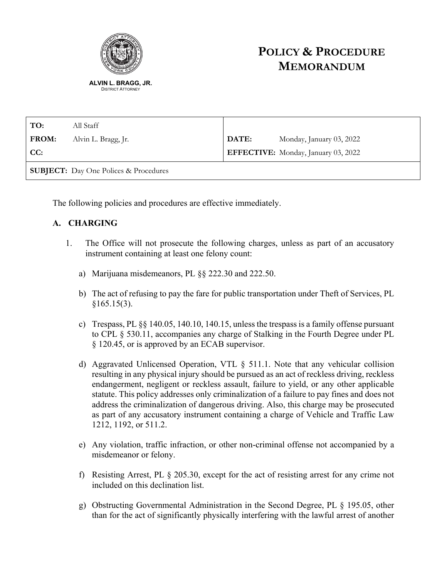

# **POLICY & PROCEDURE MEMORANDUM**

| TO:                                          | All Staff           |       |                                     |
|----------------------------------------------|---------------------|-------|-------------------------------------|
| <b>FROM:</b>                                 | Alvin L. Bragg, Jr. | DATE: | Monday, January 03, 2022            |
| CC:                                          |                     |       | EFFECTIVE: Monday, January 03, 2022 |
| <b>SUBJECT:</b> Day One Polices & Procedures |                     |       |                                     |

The following policies and procedures are effective immediately.

### **A. CHARGING**

- 1. The Office will not prosecute the following charges, unless as part of an accusatory instrument containing at least one felony count:
	- a) Marijuana misdemeanors, PL §§ 222.30 and 222.50.
	- b) The act of refusing to pay the fare for public transportation under Theft of Services, PL  $§165.15(3).$
	- c) Trespass, PL §§ 140.05, 140.10, 140.15, unless the trespass is a family offense pursuant to CPL § 530.11, accompanies any charge of Stalking in the Fourth Degree under PL § 120.45, or is approved by an ECAB supervisor.
	- d) Aggravated Unlicensed Operation, VTL § 511.1. Note that any vehicular collision resulting in any physical injury should be pursued as an act of reckless driving, reckless endangerment, negligent or reckless assault, failure to yield, or any other applicable statute. This policy addresses only criminalization of a failure to pay fines and does not address the criminalization of dangerous driving. Also, this charge may be prosecuted as part of any accusatory instrument containing a charge of Vehicle and Traffic Law 1212, 1192, or 511.2.
	- e) Any violation, traffic infraction, or other non-criminal offense not accompanied by a misdemeanor or felony.
	- f) Resisting Arrest, PL § 205.30, except for the act of resisting arrest for any crime not included on this declination list.
	- g) Obstructing Governmental Administration in the Second Degree, PL § 195.05, other than for the act of significantly physically interfering with the lawful arrest of another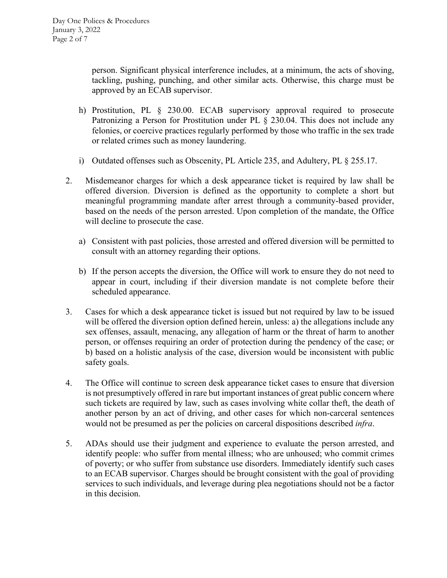person. Significant physical interference includes, at a minimum, the acts of shoving, tackling, pushing, punching, and other similar acts. Otherwise, this charge must be approved by an ECAB supervisor.

- h) Prostitution, PL § 230.00. ECAB supervisory approval required to prosecute Patronizing a Person for Prostitution under PL § 230.04. This does not include any felonies, or coercive practices regularly performed by those who traffic in the sex trade or related crimes such as money laundering.
- i) Outdated offenses such as Obscenity, PL Article 235, and Adultery, PL § 255.17.
- 2. Misdemeanor charges for which a desk appearance ticket is required by law shall be offered diversion. Diversion is defined as the opportunity to complete a short but meaningful programming mandate after arrest through a community-based provider, based on the needs of the person arrested. Upon completion of the mandate, the Office will decline to prosecute the case.
	- a) Consistent with past policies, those arrested and offered diversion will be permitted to consult with an attorney regarding their options.
	- b) If the person accepts the diversion, the Office will work to ensure they do not need to appear in court, including if their diversion mandate is not complete before their scheduled appearance.
- 3. Cases for which a desk appearance ticket is issued but not required by law to be issued will be offered the diversion option defined herein, unless: a) the allegations include any sex offenses, assault, menacing, any allegation of harm or the threat of harm to another person, or offenses requiring an order of protection during the pendency of the case; or b) based on a holistic analysis of the case, diversion would be inconsistent with public safety goals.
- 4. The Office will continue to screen desk appearance ticket cases to ensure that diversion is not presumptively offered in rare but important instances of great public concern where such tickets are required by law, such as cases involving white collar theft, the death of another person by an act of driving, and other cases for which non-carceral sentences would not be presumed as per the policies on carceral dispositions described *infra*.
- 5. ADAs should use their judgment and experience to evaluate the person arrested, and identify people: who suffer from mental illness; who are unhoused; who commit crimes of poverty; or who suffer from substance use disorders. Immediately identify such cases to an ECAB supervisor. Charges should be brought consistent with the goal of providing services to such individuals, and leverage during plea negotiations should not be a factor in this decision.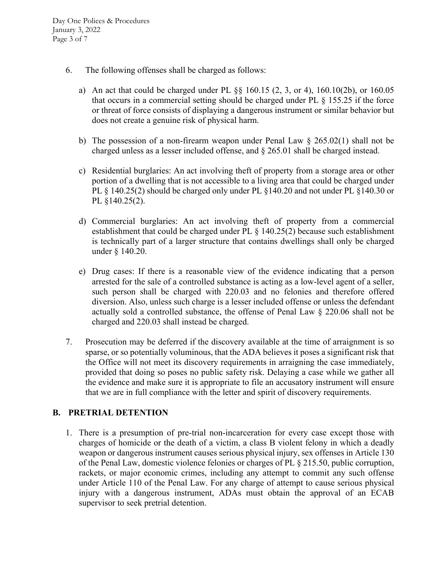- 6. The following offenses shall be charged as follows:
	- a) An act that could be charged under PL §§ 160.15 (2, 3, or 4), 160.10(2b), or 160.05 that occurs in a commercial setting should be charged under PL § 155.25 if the force or threat of force consists of displaying a dangerous instrument or similar behavior but does not create a genuine risk of physical harm.
	- b) The possession of a non-firearm weapon under Penal Law  $\S$  265.02(1) shall not be charged unless as a lesser included offense, and § 265.01 shall be charged instead.
	- c) Residential burglaries: An act involving theft of property from a storage area or other portion of a dwelling that is not accessible to a living area that could be charged under PL § 140.25(2) should be charged only under PL § 140.20 and not under PL § 140.30 or PL §140.25(2).
	- d) Commercial burglaries: An act involving theft of property from a commercial establishment that could be charged under PL § 140.25(2) because such establishment is technically part of a larger structure that contains dwellings shall only be charged under § 140.20.
	- e) Drug cases: If there is a reasonable view of the evidence indicating that a person arrested for the sale of a controlled substance is acting as a low-level agent of a seller, such person shall be charged with 220.03 and no felonies and therefore offered diversion. Also, unless such charge is a lesser included offense or unless the defendant actually sold a controlled substance, the offense of Penal Law § 220.06 shall not be charged and 220.03 shall instead be charged.
- 7. Prosecution may be deferred if the discovery available at the time of arraignment is so sparse, or so potentially voluminous, that the ADA believes it poses a significant risk that the Office will not meet its discovery requirements in arraigning the case immediately, provided that doing so poses no public safety risk. Delaying a case while we gather all the evidence and make sure it is appropriate to file an accusatory instrument will ensure that we are in full compliance with the letter and spirit of discovery requirements.

### **B. PRETRIAL DETENTION**

1. There is a presumption of pre-trial non-incarceration for every case except those with charges of homicide or the death of a victim, a class B violent felony in which a deadly weapon or dangerous instrument causes serious physical injury, sex offenses in Article 130 of the Penal Law, domestic violence felonies or charges of PL § 215.50, public corruption, rackets, or major economic crimes, including any attempt to commit any such offense under Article 110 of the Penal Law. For any charge of attempt to cause serious physical injury with a dangerous instrument, ADAs must obtain the approval of an ECAB supervisor to seek pretrial detention.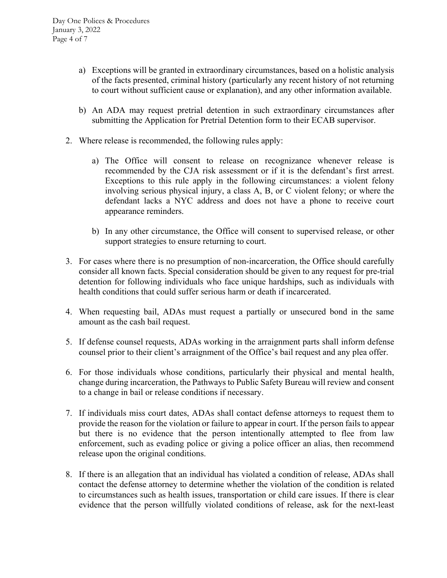- a) Exceptions will be granted in extraordinary circumstances, based on a holistic analysis of the facts presented, criminal history (particularly any recent history of not returning to court without sufficient cause or explanation), and any other information available.
- b) An ADA may request pretrial detention in such extraordinary circumstances after submitting the Application for Pretrial Detention form to their ECAB supervisor.
- 2. Where release is recommended, the following rules apply:
	- a) The Office will consent to release on recognizance whenever release is recommended by the CJA risk assessment or if it is the defendant's first arrest. Exceptions to this rule apply in the following circumstances: a violent felony involving serious physical injury, a class A, B, or C violent felony; or where the defendant lacks a NYC address and does not have a phone to receive court appearance reminders.
	- b) In any other circumstance, the Office will consent to supervised release, or other support strategies to ensure returning to court.
- 3. For cases where there is no presumption of non-incarceration, the Office should carefully consider all known facts. Special consideration should be given to any request for pre-trial detention for following individuals who face unique hardships, such as individuals with health conditions that could suffer serious harm or death if incarcerated.
- 4. When requesting bail, ADAs must request a partially or unsecured bond in the same amount as the cash bail request.
- 5. If defense counsel requests, ADAs working in the arraignment parts shall inform defense counsel prior to their client's arraignment of the Office's bail request and any plea offer.
- 6. For those individuals whose conditions, particularly their physical and mental health, change during incarceration, the Pathways to Public Safety Bureau will review and consent to a change in bail or release conditions if necessary.
- 7. If individuals miss court dates, ADAs shall contact defense attorneys to request them to provide the reason for the violation or failure to appear in court. If the person fails to appear but there is no evidence that the person intentionally attempted to flee from law enforcement, such as evading police or giving a police officer an alias, then recommend release upon the original conditions.
- 8. If there is an allegation that an individual has violated a condition of release, ADAs shall contact the defense attorney to determine whether the violation of the condition is related to circumstances such as health issues, transportation or child care issues. If there is clear evidence that the person willfully violated conditions of release, ask for the next-least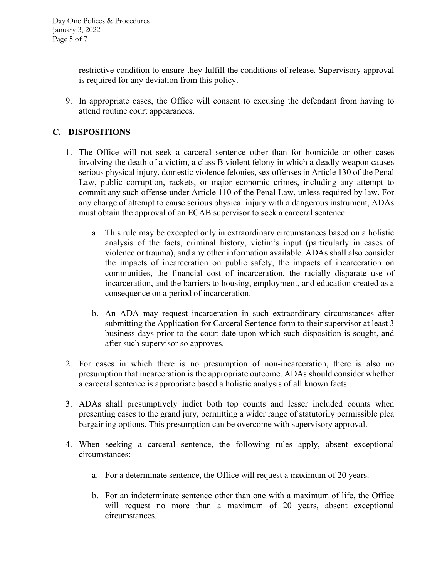restrictive condition to ensure they fulfill the conditions of release. Supervisory approval is required for any deviation from this policy.

9. In appropriate cases, the Office will consent to excusing the defendant from having to attend routine court appearances.

# **C. DISPOSITIONS**

- 1. The Office will not seek a carceral sentence other than for homicide or other cases involving the death of a victim, a class B violent felony in which a deadly weapon causes serious physical injury, domestic violence felonies, sex offenses in Article 130 of the Penal Law, public corruption, rackets, or major economic crimes, including any attempt to commit any such offense under Article 110 of the Penal Law, unless required by law. For any charge of attempt to cause serious physical injury with a dangerous instrument, ADAs must obtain the approval of an ECAB supervisor to seek a carceral sentence.
	- a. This rule may be excepted only in extraordinary circumstances based on a holistic analysis of the facts, criminal history, victim's input (particularly in cases of violence or trauma), and any other information available. ADAs shall also consider the impacts of incarceration on public safety, the impacts of incarceration on communities, the financial cost of incarceration, the racially disparate use of incarceration, and the barriers to housing, employment, and education created as a consequence on a period of incarceration.
	- b. An ADA may request incarceration in such extraordinary circumstances after submitting the Application for Carceral Sentence form to their supervisor at least 3 business days prior to the court date upon which such disposition is sought, and after such supervisor so approves.
- 2. For cases in which there is no presumption of non-incarceration, there is also no presumption that incarceration is the appropriate outcome. ADAs should consider whether a carceral sentence is appropriate based a holistic analysis of all known facts.
- 3. ADAs shall presumptively indict both top counts and lesser included counts when presenting cases to the grand jury, permitting a wider range of statutorily permissible plea bargaining options. This presumption can be overcome with supervisory approval.
- 4. When seeking a carceral sentence, the following rules apply, absent exceptional circumstances:
	- a. For a determinate sentence, the Office will request a maximum of 20 years.
	- b. For an indeterminate sentence other than one with a maximum of life, the Office will request no more than a maximum of 20 years, absent exceptional circumstances.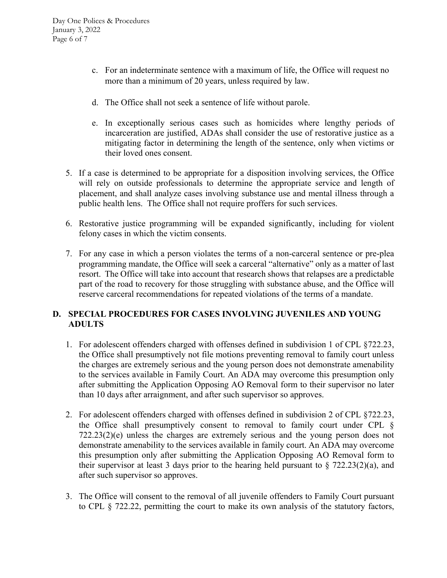- c. For an indeterminate sentence with a maximum of life, the Office will request no more than a minimum of 20 years, unless required by law.
- d. The Office shall not seek a sentence of life without parole.
- e. In exceptionally serious cases such as homicides where lengthy periods of incarceration are justified, ADAs shall consider the use of restorative justice as a mitigating factor in determining the length of the sentence, only when victims or their loved ones consent.
- 5. If a case is determined to be appropriate for a disposition involving services, the Office will rely on outside professionals to determine the appropriate service and length of placement, and shall analyze cases involving substance use and mental illness through a public health lens. The Office shall not require proffers for such services.
- 6. Restorative justice programming will be expanded significantly, including for violent felony cases in which the victim consents.
- 7. For any case in which a person violates the terms of a non-carceral sentence or pre-plea programming mandate, the Office will seek a carceral "alternative" only as a matter of last resort. The Office will take into account that research shows that relapses are a predictable part of the road to recovery for those struggling with substance abuse, and the Office will reserve carceral recommendations for repeated violations of the terms of a mandate.

# **D. SPECIAL PROCEDURES FOR CASES INVOLVING JUVENILES AND YOUNG ADULTS**

- 1. For adolescent offenders charged with offenses defined in subdivision 1 of CPL §722.23, the Office shall presumptively not file motions preventing removal to family court unless the charges are extremely serious and the young person does not demonstrate amenability to the services available in Family Court. An ADA may overcome this presumption only after submitting the Application Opposing AO Removal form to their supervisor no later than 10 days after arraignment, and after such supervisor so approves.
- 2. For adolescent offenders charged with offenses defined in subdivision 2 of CPL §722.23, the Office shall presumptively consent to removal to family court under CPL § 722.23(2)(e) unless the charges are extremely serious and the young person does not demonstrate amenability to the services available in family court. An ADA may overcome this presumption only after submitting the Application Opposing AO Removal form to their supervisor at least 3 days prior to the hearing held pursuant to  $\S 722.23(2)(a)$ , and after such supervisor so approves.
- 3. The Office will consent to the removal of all juvenile offenders to Family Court pursuant to CPL § 722.22, permitting the court to make its own analysis of the statutory factors,